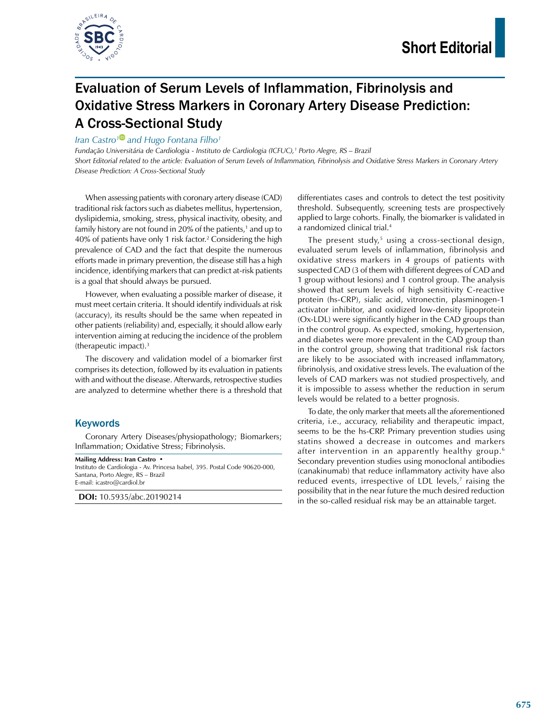

## Evaluation of Serum Levels of Inflammation, Fibrinolysis and Oxidative Stress Markers in Coronary Artery Disease Prediction: A Cross-Sectional Study

*Iran Castro<sup>1</sup> and Hugo Fontana Filho<sup>1</sup>* 

*Fundação Universitária de Cardiologia - Instituto de Cardiologia (ICFUC),1 Porto Alegre, RS – Brazil Short Editorial related to the article: Evaluation of Serum Levels of Inflammation, Fibrinolysis and Oxidative Stress Markers in Coronary Artery Disease Prediction: A Cross-Sectional Study*

When assessing patients with coronary artery disease (CAD) traditional risk factors such as diabetes mellitus, hypertension, dyslipidemia, smoking, stress, physical inactivity, obesity, and family history are not found in 20% of the patients, $^{\text{1}}$  and up to 40% of patients have only 1 risk factor.<sup>2</sup> Considering the high prevalence of CAD and the fact that despite the numerous efforts made in primary prevention, the disease still has a high incidence, identifying markers that can predict at-risk patients is a goal that should always be pursued.

However, when evaluating a possible marker of disease, it must meet certain criteria. It should identify individuals at risk (accuracy), its results should be the same when repeated in other patients (reliability) and, especially, it should allow early intervention aiming at reducing the incidence of the problem (therapeutic impact).3

The discovery and validation model of a biomarker first comprises its detection, followed by its evaluation in patients with and without the disease. Afterwards, retrospective studies are analyzed to determine whether there is a threshold that

## **Keywords**

Coronary Artery Diseases/physiopathology; Biomarkers; Inflammation; Oxidative Stress; Fibrinolysis.

**Mailing Address: Iran Castro •** Instituto de Cardiologia - Av. Princesa Isabel, 395. Postal Code 90620-000, Santana, Porto Alegre, RS – Brazil E-mail: icastro@cardiol.br

**DOI:** 10.5935/abc.20190214

differentiates cases and controls to detect the test positivity threshold. Subsequently, screening tests are prospectively applied to large cohorts. Finally, the biomarker is validated in a randomized clinical trial.4

The present study,<sup>5</sup> using a cross-sectional design, evaluated serum levels of inflammation, fibrinolysis and oxidative stress markers in 4 groups of patients with suspected CAD (3 of them with different degrees of CAD and 1 group without lesions) and 1 control group. The analysis showed that serum levels of high sensitivity C-reactive protein (hs-CRP), sialic acid, vitronectin, plasminogen-1 activator inhibitor, and oxidized low-density lipoprotein (Ox-LDL) were significantly higher in the CAD groups than in the control group. As expected, smoking, hypertension, and diabetes were more prevalent in the CAD group than in the control group, showing that traditional risk factors are likely to be associated with increased inflammatory, fibrinolysis, and oxidative stress levels. The evaluation of the levels of CAD markers was not studied prospectively, and it is impossible to assess whether the reduction in serum levels would be related to a better prognosis.

To date, the only marker that meets all the aforementioned criteria, i.e., accuracy, reliability and therapeutic impact, seems to be the hs-CRP. Primary prevention studies using statins showed a decrease in outcomes and markers after intervention in an apparently healthy group.<sup>6</sup> Secondary prevention studies using monoclonal antibodies (canakinumab) that reduce inflammatory activity have also reduced events, irrespective of LDL levels,<sup>7</sup> raising the possibility that in the near future the much desired reduction in the so-called residual risk may be an attainable target.